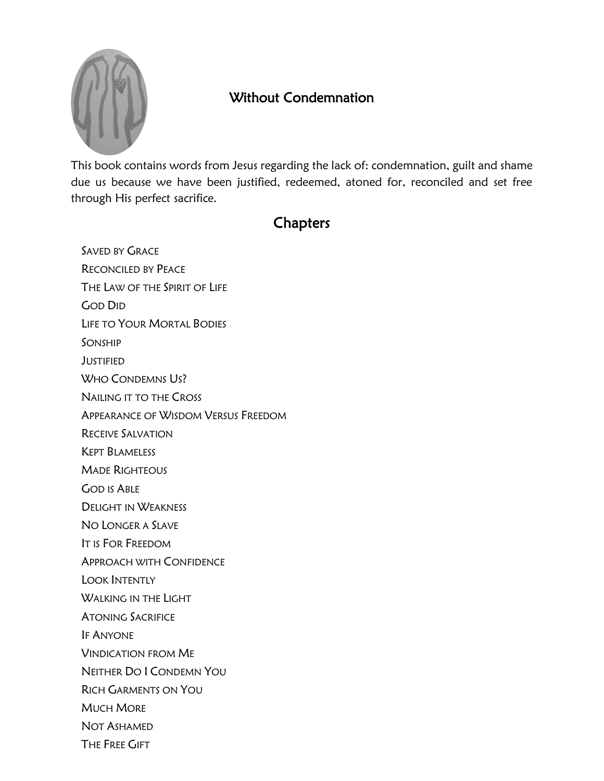

## Without Condemnation

This book contains words from Jesus regarding the lack of: condemnation, guilt and shame due us because we have been justified, redeemed, atoned for, reconciled and set free through His perfect sacrifice.

## **Chapters**

SAVED BY GRACE RECONCILED BY PEACE THE LAW OF THE SPIRIT OF LIFE GOD DID LIFE TO YOUR MORTAL BODIES SONSHIP JUSTIFIED WHO CONDEMNS US? NAILING IT TO THE CROSS APPEARANCE OF WISDOM VERSUS FREEDOM RECEIVE SALVATION KEPT BLAMELESS MADE RIGHTEOUS GOD IS ABLE DELIGHT IN WEAKNESS NO LONGER A SLAVE IT IS FOR FREEDOM APPROACH WITH CONFIDENCE LOOK INTENTLY WALKING IN THE LIGHT ATONING SACRIFICE IF ANYONE VINDICATION FROM ME NEITHER DO I CONDEMN YOU RICH GARMENTS ON YOU MUCH MORE NOT ASHAMED THE FREE GIFT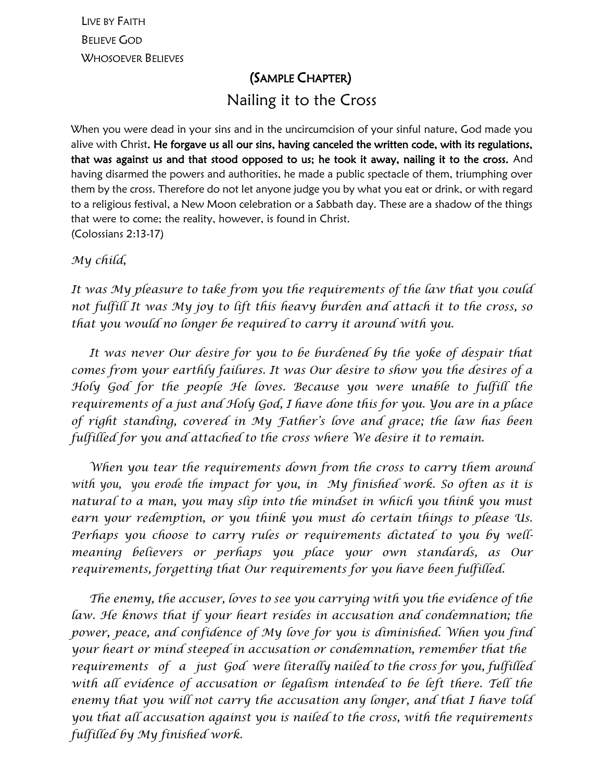LIVE BY FAITH BELIEVE GOD WHOSOEVER BELIEVES

## (SAMPLE CHAPTER) Nailing it to the Cross

When you were dead in your sins and in the uncircumcision of your sinful nature, God made you alive with Christ. He forgave us all our sins, having canceled the written code, with its regulations, that was against us and that stood opposed to us; he took it away, nailing it to the cross. And having disarmed the powers and authorities, he made a public spectacle of them, triumphing over them by the cross. Therefore do not let anyone judge you by what you eat or drink, or with regard to a religious festival, a New Moon celebration or a Sabbath day. These are a shadow of the things that were to come; the reality, however, is found in Christ. (Colossians 2:13-17)

*My child,*

*It was My pleasure to take from you the requirements of the law that you could not fulfill It was My joy to lift this heavy burden and attach it to the cross, so that you would no longer be required to carry it around with you.*

 *It was never Our desire for you to be burdened by the yoke of despair that comes from your earthly failures. It was Our desire to show you the desires of a Holy God for the people He loves. Because you were unable to fulfill the requirements of a just and Holy God, I have done this for you. You are in a place of right standing, covered in My Father's love and grace; the law has been fulfilled for you and attached to the cross where We desire it to remain.*

 *When you tear the requirements down from the cross to carry them around with you, you erode the impact for you, in My finished work. So often as it is natural to a man, you may slip into the mindset in which you think you must earn your redemption, or you think you must do certain things to please Us. Perhaps you choose to carry rules or requirements dictated to you by wellmeaning believers or perhaps you place your own standards, as Our requirements, forgetting that Our requirements for you have been fulfilled.* 

 *The enemy, the accuser, loves to see you carrying with you the evidence of the law. He knows that if your heart resides in accusation and condemnation; the power, peace, and confidence of My love for you is diminished. When you find your heart or mind steeped in accusation or condemnation, remember that the requirements of a just God were literally nailed to the cross for you, fulfilled*  with all evidence of accusation or legalism intended to be left there. Tell the *enemy that you will not carry the accusation any longer, and that I have told you that all accusation against you is nailed to the cross, with the requirements fulfilled by My finished work.*